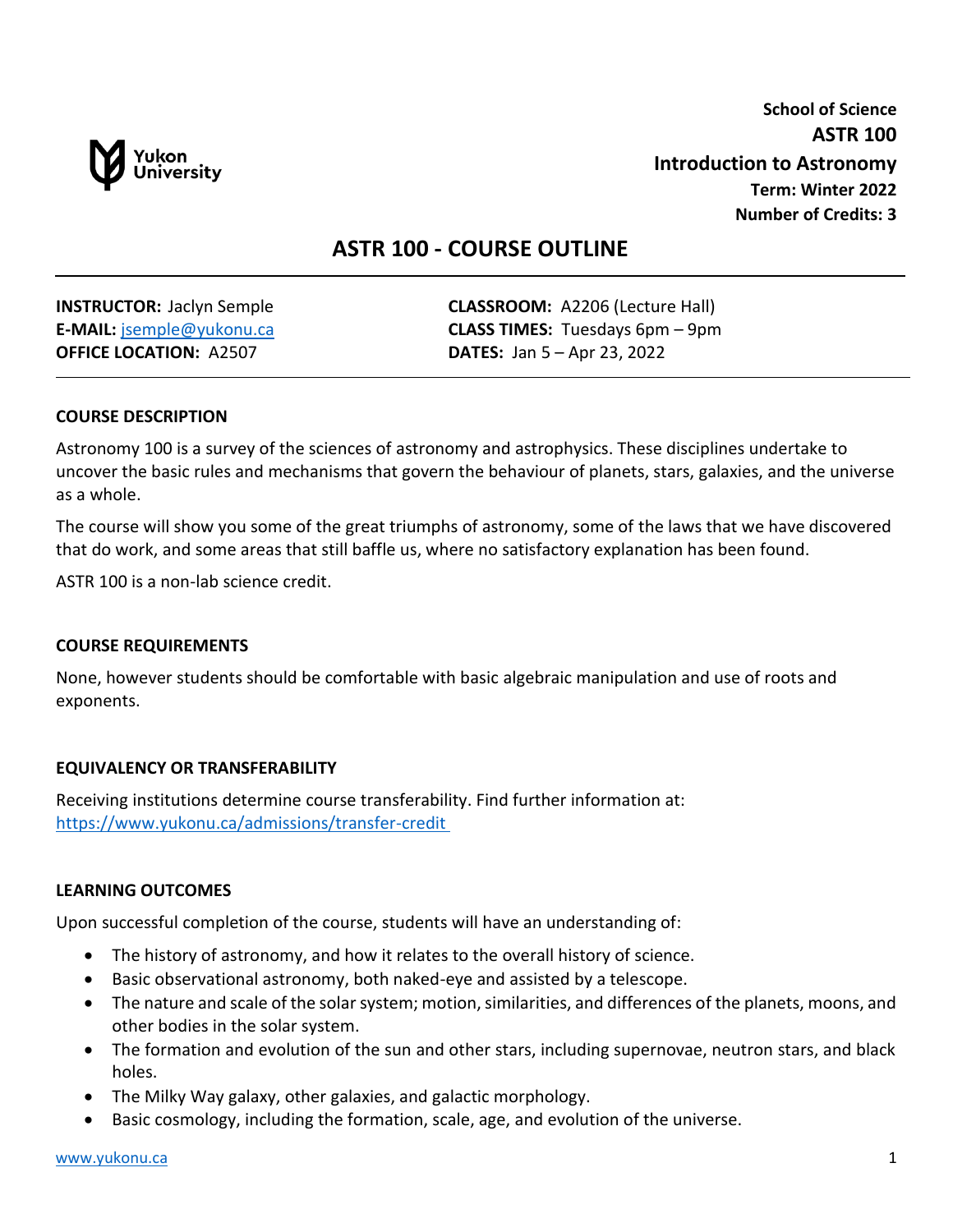

**School of Science ASTR 100 Introduction to Astronomy Term: Winter 2022 Number of Credits: 3**

# **ASTR 100 - COURSE OUTLINE**

**OFFICE LOCATION:** A2507 **DATES:** Jan 5 – Apr 23, 2022

**INSTRUCTOR:** Jaclyn Semple **CLASSROOM:** A2206 (Lecture Hall) **E-MAIL:** [jsemple@yukonu.ca](mailto:jsemple@yukonu.ca) **CLASS TIMES:** Tuesdays 6pm – 9pm

### **COURSE DESCRIPTION**

Astronomy 100 is a survey of the sciences of astronomy and astrophysics. These disciplines undertake to uncover the basic rules and mechanisms that govern the behaviour of planets, stars, galaxies, and the universe as a whole.

The course will show you some of the great triumphs of astronomy, some of the laws that we have discovered that do work, and some areas that still baffle us, where no satisfactory explanation has been found.

ASTR 100 is a non-lab science credit.

#### **COURSE REQUIREMENTS**

None, however students should be comfortable with basic algebraic manipulation and use of roots and exponents.

#### **EQUIVALENCY OR TRANSFERABILITY**

Receiving institutions determine course transferability. Find further information at: [https://www.yukonu.ca/admissions/transfer-credit](https://www.yukonu.ca/admissions/transfer-credit )

#### **LEARNING OUTCOMES**

Upon successful completion of the course, students will have an understanding of:

- The history of astronomy, and how it relates to the overall history of science.
- Basic observational astronomy, both naked-eye and assisted by a telescope.
- The nature and scale of the solar system; motion, similarities, and differences of the planets, moons, and other bodies in the solar system.
- The formation and evolution of the sun and other stars, including supernovae, neutron stars, and black holes.
- The Milky Way galaxy, other galaxies, and galactic morphology.
- Basic cosmology, including the formation, scale, age, and evolution of the universe.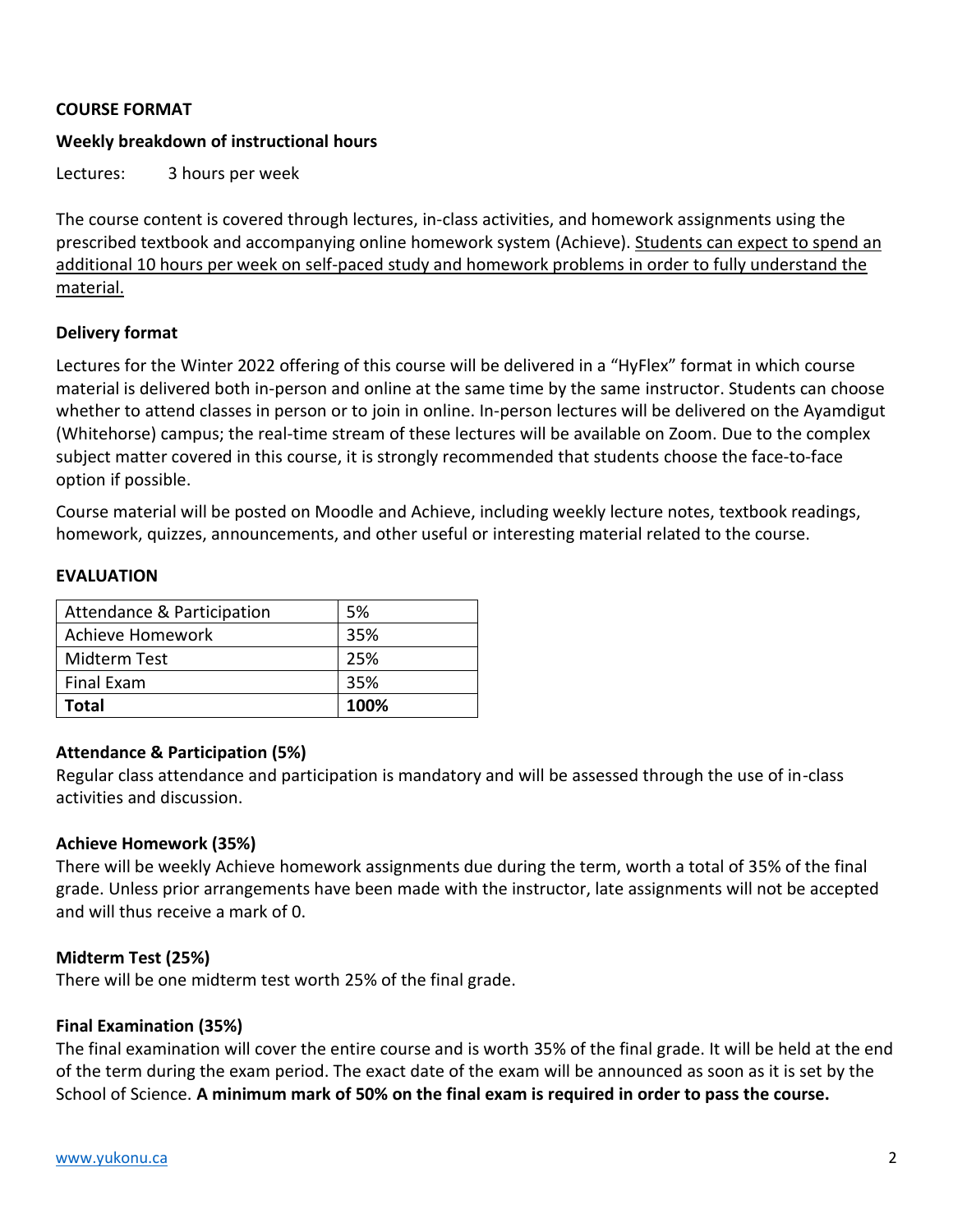### **COURSE FORMAT**

### **Weekly breakdown of instructional hours**

Lectures: 3 hours per week

The course content is covered through lectures, in-class activities, and homework assignments using the prescribed textbook and accompanying online homework system (Achieve). Students can expect to spend an additional 10 hours per week on self-paced study and homework problems in order to fully understand the material.

### **Delivery format**

Lectures for the Winter 2022 offering of this course will be delivered in a "HyFlex" format in which course material is delivered both in-person and online at the same time by the same instructor. Students can choose whether to attend classes in person or to join in online. In-person lectures will be delivered on the Ayamdigut (Whitehorse) campus; the real-time stream of these lectures will be available on Zoom. Due to the complex subject matter covered in this course, it is strongly recommended that students choose the face-to-face option if possible.

Course material will be posted on Moodle and Achieve, including weekly lecture notes, textbook readings, homework, quizzes, announcements, and other useful or interesting material related to the course.

#### **EVALUATION**

| Attendance & Participation | 5%   |
|----------------------------|------|
| Achieve Homework           | 35%  |
| Midterm Test               | 25%  |
| <b>Final Exam</b>          | 35%  |
| Total                      | 100% |

### **Attendance & Participation (5%)**

Regular class attendance and participation is mandatory and will be assessed through the use of in-class activities and discussion.

### **Achieve Homework (35%)**

There will be weekly Achieve homework assignments due during the term, worth a total of 35% of the final grade. Unless prior arrangements have been made with the instructor, late assignments will not be accepted and will thus receive a mark of 0.

#### **Midterm Test (25%)**

There will be one midterm test worth 25% of the final grade.

#### **Final Examination (35%)**

The final examination will cover the entire course and is worth 35% of the final grade. It will be held at the end of the term during the exam period. The exact date of the exam will be announced as soon as it is set by the School of Science. **A minimum mark of 50% on the final exam is required in order to pass the course.**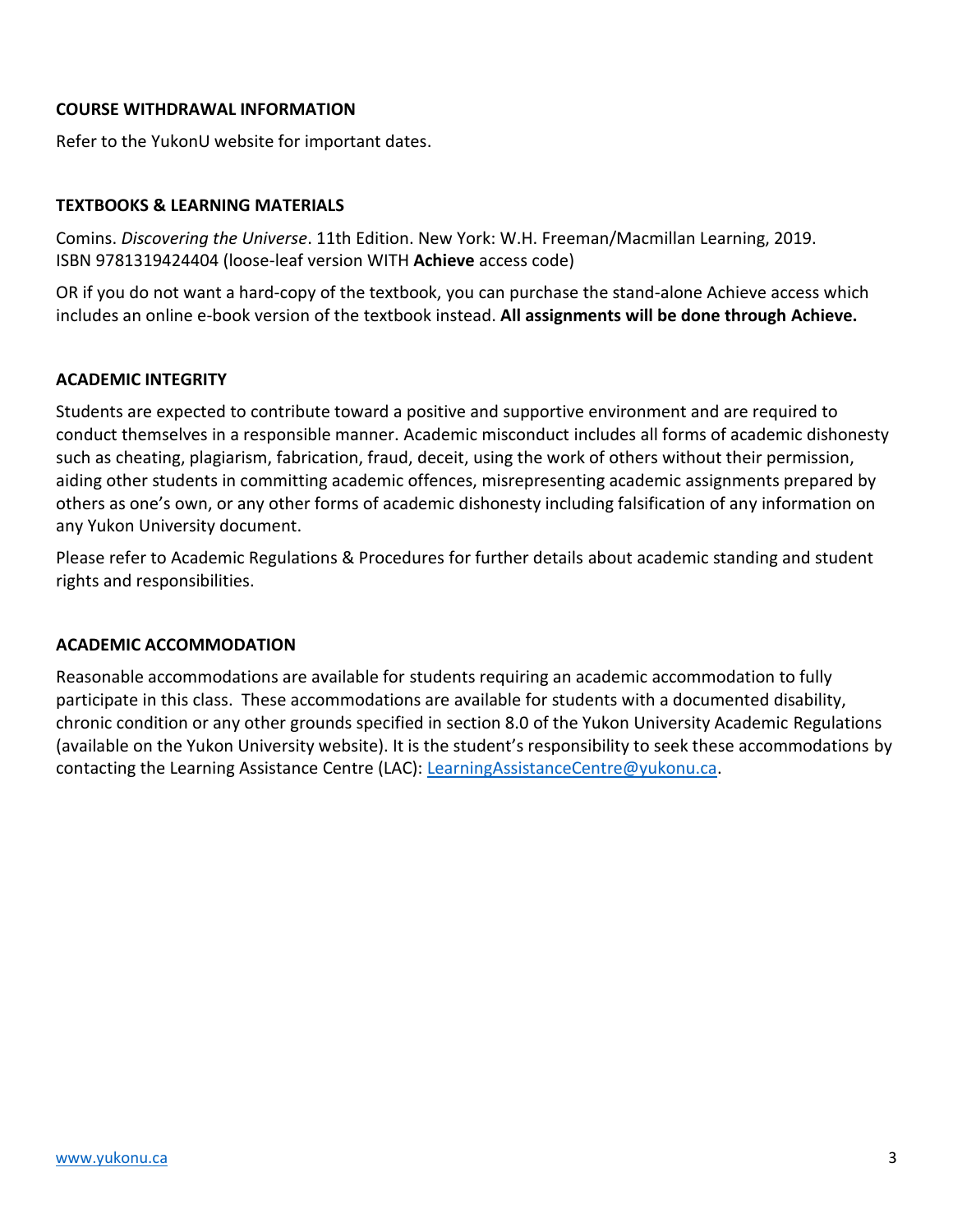### **COURSE WITHDRAWAL INFORMATION**

Refer to the YukonU website for important dates.

### **TEXTBOOKS & LEARNING MATERIALS**

Comins. *Discovering the Universe*. 11th Edition. New York: W.H. Freeman/Macmillan Learning, 2019. ISBN 9781319424404 (loose-leaf version WITH **Achieve** access code)

OR if you do not want a hard-copy of the textbook, you can purchase the stand-alone Achieve access which includes an online e-book version of the textbook instead. **All assignments will be done through Achieve.**

#### **ACADEMIC INTEGRITY**

Students are expected to contribute toward a positive and supportive environment and are required to conduct themselves in a responsible manner. Academic misconduct includes all forms of academic dishonesty such as cheating, plagiarism, fabrication, fraud, deceit, using the work of others without their permission, aiding other students in committing academic offences, misrepresenting academic assignments prepared by others as one's own, or any other forms of academic dishonesty including falsification of any information on any Yukon University document.

Please refer to Academic Regulations & Procedures for further details about academic standing and student rights and responsibilities.

#### **ACADEMIC ACCOMMODATION**

Reasonable accommodations are available for students requiring an academic accommodation to fully participate in this class. These accommodations are available for students with a documented disability, chronic condition or any other grounds specified in section 8.0 of the Yukon University Academic Regulations (available on the Yukon University website). It is the student's responsibility to seek these accommodations by contacting the Learning Assistance Centre (LAC): [LearningAssistanceCentre@yukonu.ca.](mailto:LearningAssistanceCentre@yukonu.ca)